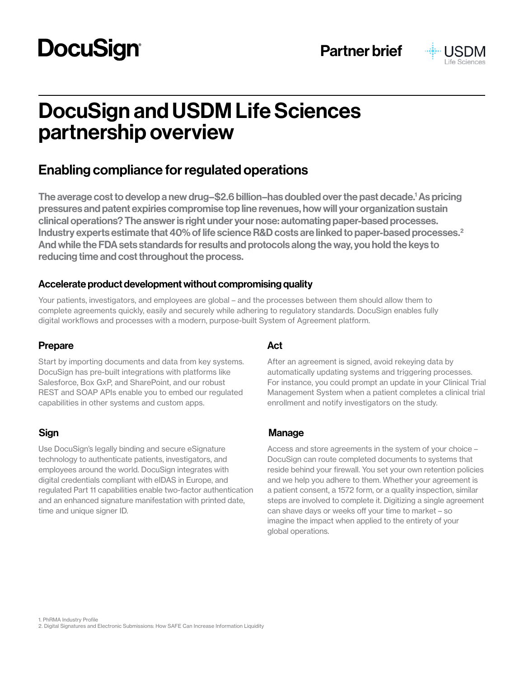# **DocuSign®**



# DocuSign and USDM Life Sciences partnership overview

# Enabling compliance for regulated operations

The average cost to develop a new drug–\$2.6 billion–has doubled over the past decade.<sup>1</sup> As pricing pressures and patent expiries compromise top line revenues, how will your organization sustain clinical operations? The answer is right under your nose: automating paper-based processes. Industry experts estimate that 40% of life science R&D costs are linked to paper-based processes.<sup>2</sup> And while the FDA sets standards for results and protocols along the way, you hold the keys to reducing time and cost throughout the process.

### Accelerate product development without compromising quality

Your patients, investigators, and employees are global – and the processes between them should allow them to complete agreements quickly, easily and securely while adhering to regulatory standards. DocuSign enables fully digital workflows and processes with a modern, purpose-built System of Agreement platform.

### Prepare Act

Start by importing documents and data from key systems. DocuSign has pre-built integrations with platforms like Salesforce, Box GxP, and SharePoint, and our robust REST and SOAP APIs enable you to embed our regulated capabilities in other systems and custom apps.

Use DocuSign's legally binding and secure eSignature technology to authenticate patients, investigators, and employees around the world. DocuSign integrates with digital credentials compliant with eIDAS in Europe, and regulated Part 11 capabilities enable two-factor authentication and an enhanced signature manifestation with printed date, time and unique signer ID.

After an agreement is signed, avoid rekeying data by automatically updating systems and triggering processes. For instance, you could prompt an update in your Clinical Trial Management System when a patient completes a clinical trial enrollment and notify investigators on the study.

### Sign Manage

Access and store agreements in the system of your choice – DocuSign can route completed documents to systems that reside behind your firewall. You set your own retention policies and we help you adhere to them. Whether your agreement is a patient consent, a 1572 form, or a quality inspection, similar steps are involved to complete it. Digitizing a single agreement can shave days or weeks off your time to market – so imagine the impact when applied to the entirety of your global operations.